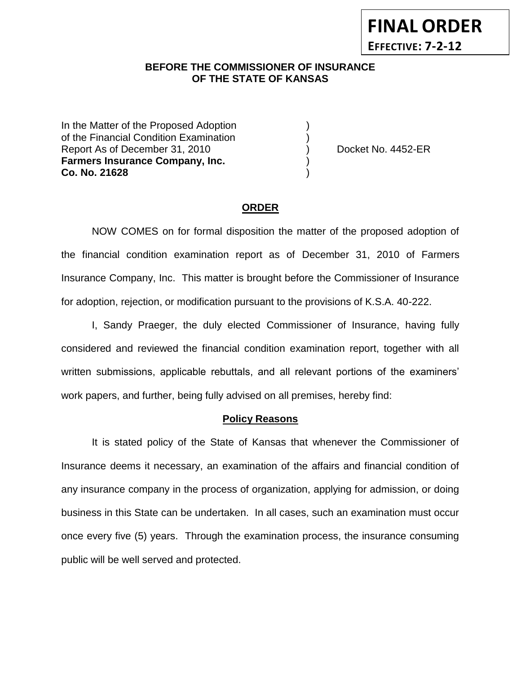# **BEFORE THE COMMISSIONER OF INSURANCE OF THE STATE OF KANSAS**

In the Matter of the Proposed Adoption of the Financial Condition Examination ) Report As of December 31, 2010 (and Separate Left No. 4452-ER **Farmers Insurance Company, Inc.** ) **Co. No. 21628** )

**FINAL ORDER**

**EFFECTIVE: 7-2-12**

#### **ORDER**

NOW COMES on for formal disposition the matter of the proposed adoption of the financial condition examination report as of December 31, 2010 of Farmers Insurance Company, Inc. This matter is brought before the Commissioner of Insurance for adoption, rejection, or modification pursuant to the provisions of K.S.A. 40-222.

I, Sandy Praeger, the duly elected Commissioner of Insurance, having fully considered and reviewed the financial condition examination report, together with all written submissions, applicable rebuttals, and all relevant portions of the examiners' work papers, and further, being fully advised on all premises, hereby find:

#### **Policy Reasons**

It is stated policy of the State of Kansas that whenever the Commissioner of Insurance deems it necessary, an examination of the affairs and financial condition of any insurance company in the process of organization, applying for admission, or doing business in this State can be undertaken. In all cases, such an examination must occur once every five (5) years. Through the examination process, the insurance consuming public will be well served and protected.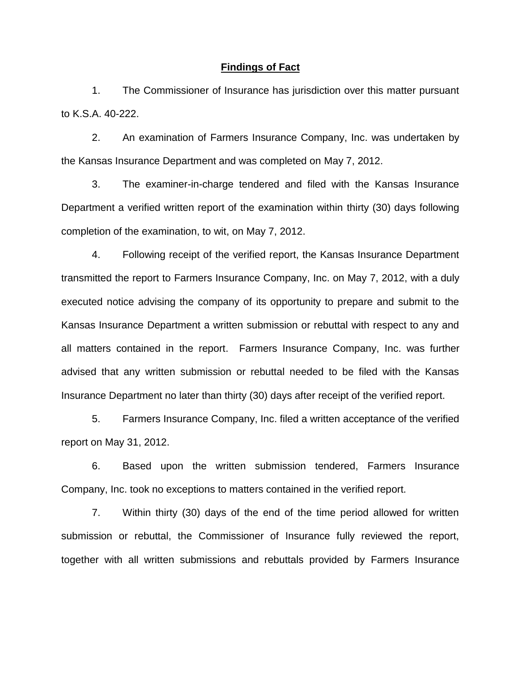#### **Findings of Fact**

1. The Commissioner of Insurance has jurisdiction over this matter pursuant to K.S.A. 40-222.

2. An examination of Farmers Insurance Company, Inc. was undertaken by the Kansas Insurance Department and was completed on May 7, 2012.

3. The examiner-in-charge tendered and filed with the Kansas Insurance Department a verified written report of the examination within thirty (30) days following completion of the examination, to wit, on May 7, 2012.

4. Following receipt of the verified report, the Kansas Insurance Department transmitted the report to Farmers Insurance Company, Inc. on May 7, 2012, with a duly executed notice advising the company of its opportunity to prepare and submit to the Kansas Insurance Department a written submission or rebuttal with respect to any and all matters contained in the report. Farmers Insurance Company, Inc. was further advised that any written submission or rebuttal needed to be filed with the Kansas Insurance Department no later than thirty (30) days after receipt of the verified report.

5. Farmers Insurance Company, Inc. filed a written acceptance of the verified report on May 31, 2012.

6. Based upon the written submission tendered, Farmers Insurance Company, Inc. took no exceptions to matters contained in the verified report.

7. Within thirty (30) days of the end of the time period allowed for written submission or rebuttal, the Commissioner of Insurance fully reviewed the report, together with all written submissions and rebuttals provided by Farmers Insurance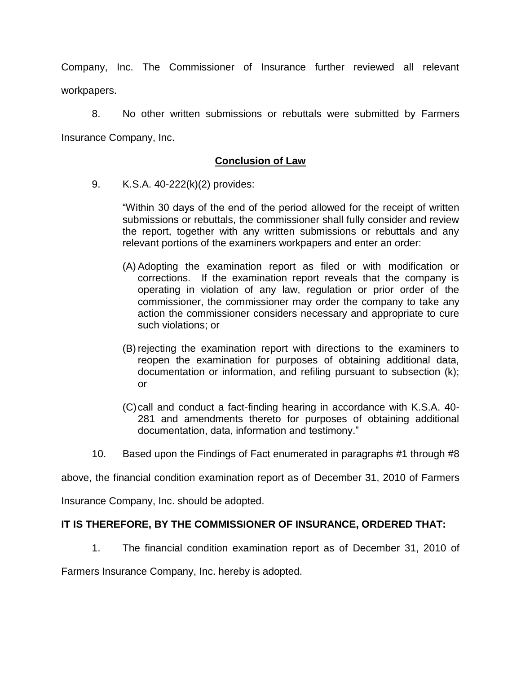Company, Inc. The Commissioner of Insurance further reviewed all relevant workpapers.

8. No other written submissions or rebuttals were submitted by Farmers Insurance Company, Inc.

## **Conclusion of Law**

9. K.S.A. 40-222(k)(2) provides:

"Within 30 days of the end of the period allowed for the receipt of written submissions or rebuttals, the commissioner shall fully consider and review the report, together with any written submissions or rebuttals and any relevant portions of the examiners workpapers and enter an order:

- (A) Adopting the examination report as filed or with modification or corrections. If the examination report reveals that the company is operating in violation of any law, regulation or prior order of the commissioner, the commissioner may order the company to take any action the commissioner considers necessary and appropriate to cure such violations; or
- (B) rejecting the examination report with directions to the examiners to reopen the examination for purposes of obtaining additional data, documentation or information, and refiling pursuant to subsection (k); or
- (C)call and conduct a fact-finding hearing in accordance with K.S.A. 40- 281 and amendments thereto for purposes of obtaining additional documentation, data, information and testimony."
- 10. Based upon the Findings of Fact enumerated in paragraphs #1 through #8

above, the financial condition examination report as of December 31, 2010 of Farmers

Insurance Company, Inc. should be adopted.

### **IT IS THEREFORE, BY THE COMMISSIONER OF INSURANCE, ORDERED THAT:**

1. The financial condition examination report as of December 31, 2010 of

Farmers Insurance Company, Inc. hereby is adopted.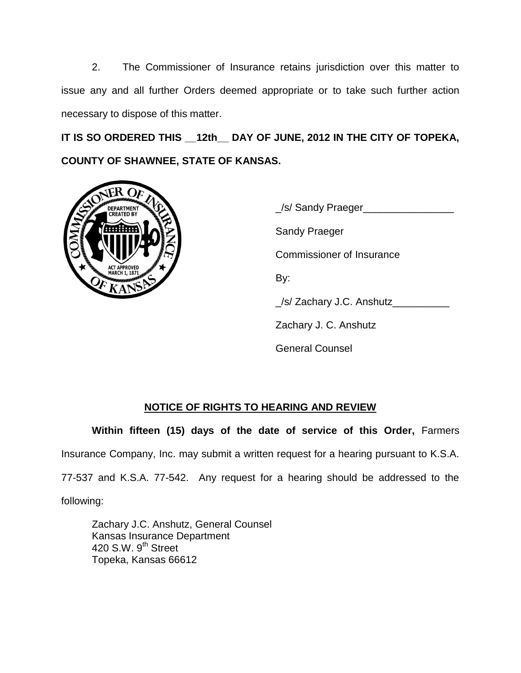2. The Commissioner of Insurance retains jurisdiction over this matter to issue any and all further Orders deemed appropriate or to take such further action necessary to dispose of this matter.

**IT IS SO ORDERED THIS \_\_12th\_\_ DAY OF JUNE, 2012 IN THE CITY OF TOPEKA, COUNTY OF SHAWNEE, STATE OF KANSAS.**



\_/s/ Sandy Praeger\_\_\_\_\_\_\_\_\_\_\_\_\_\_\_\_ Sandy Praeger Commissioner of Insurance By: \_/s/ Zachary J.C. Anshutz\_\_\_\_\_\_\_\_\_\_ Zachary J. C. Anshutz General Counsel

## **NOTICE OF RIGHTS TO HEARING AND REVIEW**

**Within fifteen (15) days of the date of service of this Order,** Farmers

Insurance Company, Inc. may submit a written request for a hearing pursuant to K.S.A.

77-537 and K.S.A. 77-542. Any request for a hearing should be addressed to the

following:

Zachary J.C. Anshutz, General Counsel Kansas Insurance Department 420 S.W. 9<sup>th</sup> Street Topeka, Kansas 66612